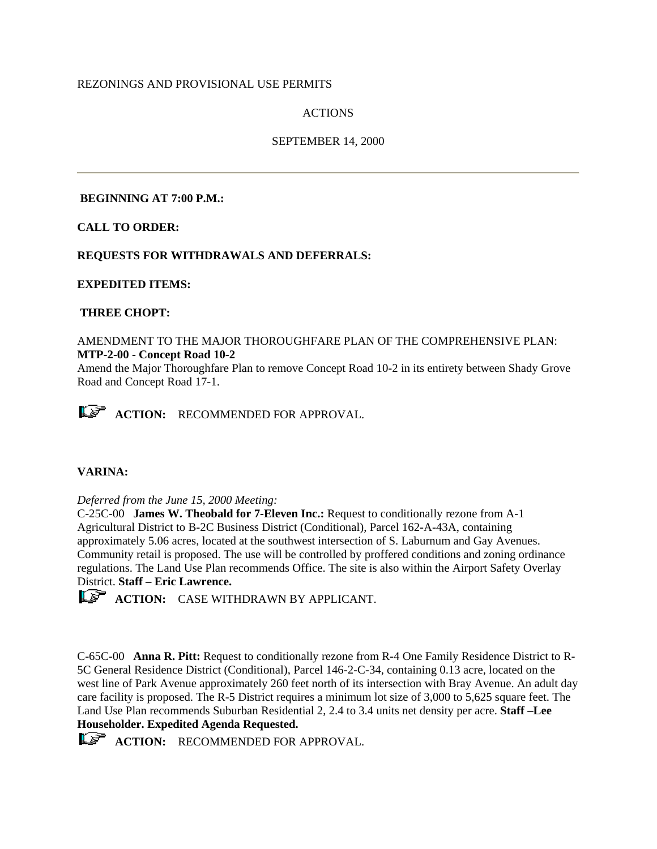## REZONINGS AND PROVISIONAL USE PERMITS

# ACTIONS

## SEPTEMBER 14, 2000

### **BEGINNING AT 7:00 P.M.:**

**CALL TO ORDER:**

# **REQUESTS FOR WITHDRAWALS AND DEFERRALS:**

**EXPEDITED ITEMS:**

## **THREE CHOPT:**

## AMENDMENT TO THE MAJOR THOROUGHFARE PLAN OF THE COMPREHENSIVE PLAN: **MTP-2-00 - Concept Road 10-2**

Amend the Major Thoroughfare Plan to remove Concept Road 10-2 in its entirety between Shady Grove Road and Concept Road 17-1.

**ACTION:** RECOMMENDED FOR APPROVAL.

# **VARINA:**

#### *Deferred from the June 15, 2000 Meeting:*

C-25C-00 **James W. Theobald for 7-Eleven Inc.:** Request to conditionally rezone from A-1 Agricultural District to B-2C Business District (Conditional), Parcel 162-A-43A, containing approximately 5.06 acres, located at the southwest intersection of S. Laburnum and Gay Avenues. Community retail is proposed. The use will be controlled by proffered conditions and zoning ordinance regulations. The Land Use Plan recommends Office. The site is also within the Airport Safety Overlay District. **Staff – Eric Lawrence.** 

**ACTION:** CASE WITHDRAWN BY APPLICANT.

C-65C-00 **Anna R. Pitt:** Request to conditionally rezone from R-4 One Family Residence District to R-5C General Residence District (Conditional), Parcel 146-2-C-34, containing 0.13 acre, located on the west line of Park Avenue approximately 260 feet north of its intersection with Bray Avenue. An adult day care facility is proposed. The R-5 District requires a minimum lot size of 3,000 to 5,625 square feet. The Land Use Plan recommends Suburban Residential 2, 2.4 to 3.4 units net density per acre. **Staff –Lee Householder. Expedited Agenda Requested.**

**ACTION:** RECOMMENDED FOR APPROVAL.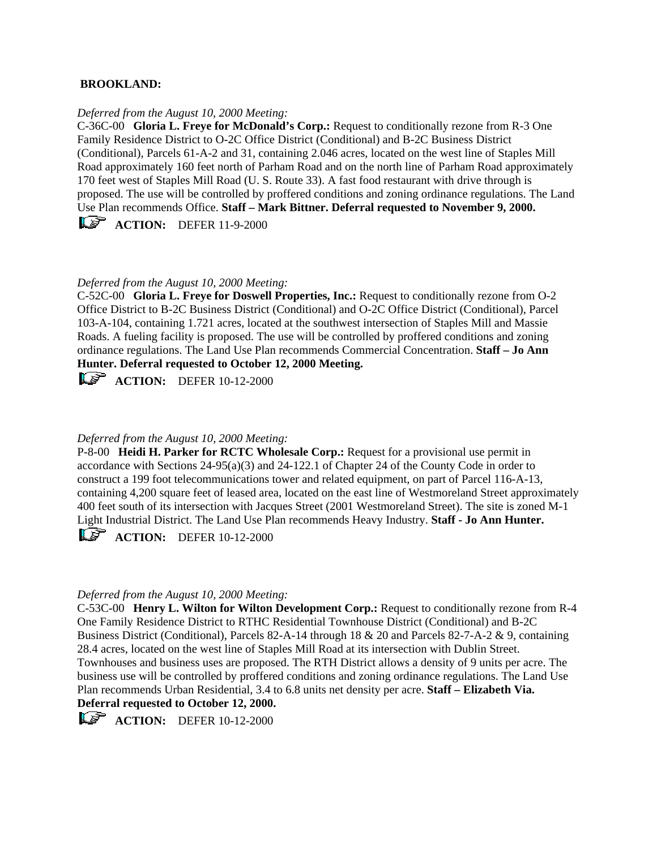### **BROOKLAND:**

#### *Deferred from the August 10, 2000 Meeting:*

C-36C-00 **Gloria L. Freye for McDonald's Corp.:** Request to conditionally rezone from R-3 One Family Residence District to O-2C Office District (Conditional) and B-2C Business District (Conditional), Parcels 61-A-2 and 31, containing 2.046 acres, located on the west line of Staples Mill Road approximately 160 feet north of Parham Road and on the north line of Parham Road approximately 170 feet west of Staples Mill Road (U. S. Route 33). A fast food restaurant with drive through is proposed. The use will be controlled by proffered conditions and zoning ordinance regulations. The Land Use Plan recommends Office. **Staff – Mark Bittner. Deferral requested to November 9, 2000. ACTION:** DEFER 11-9-2000

### *Deferred from the August 10, 2000 Meeting:*

C-52C-00 **Gloria L. Freye for Doswell Properties, Inc.:** Request to conditionally rezone from O-2 Office District to B-2C Business District (Conditional) and O-2C Office District (Conditional), Parcel 103-A-104, containing 1.721 acres, located at the southwest intersection of Staples Mill and Massie Roads. A fueling facility is proposed. The use will be controlled by proffered conditions and zoning ordinance regulations. The Land Use Plan recommends Commercial Concentration. **Staff – Jo Ann Hunter. Deferral requested to October 12, 2000 Meeting.**

**ACTION:** DEFER 10-12-2000

# *Deferred from the August 10, 2000 Meeting:*

P-8-00 **Heidi H. Parker for RCTC Wholesale Corp.:** Request for a provisional use permit in accordance with Sections 24-95(a)(3) and 24-122.1 of Chapter 24 of the County Code in order to construct a 199 foot telecommunications tower and related equipment, on part of Parcel 116-A-13, containing 4,200 square feet of leased area, located on the east line of Westmoreland Street approximately 400 feet south of its intersection with Jacques Street (2001 Westmoreland Street). The site is zoned M-1 Light Industrial District. The Land Use Plan recommends Heavy Industry. **Staff - Jo Ann Hunter.**

**ACTION:** DEFER 10-12-2000

#### *Deferred from the August 10, 2000 Meeting:*

C-53C-00 **Henry L. Wilton for Wilton Development Corp.:** Request to conditionally rezone from R-4 One Family Residence District to RTHC Residential Townhouse District (Conditional) and B-2C Business District (Conditional), Parcels 82-A-14 through 18 & 20 and Parcels 82-7-A-2 & 9, containing 28.4 acres, located on the west line of Staples Mill Road at its intersection with Dublin Street. Townhouses and business uses are proposed. The RTH District allows a density of 9 units per acre. The business use will be controlled by proffered conditions and zoning ordinance regulations. The Land Use Plan recommends Urban Residential, 3.4 to 6.8 units net density per acre. **Staff – Elizabeth Via.** 

# **Deferral requested to October 12, 2000.**

**ACTION:** DEFER 10-12-2000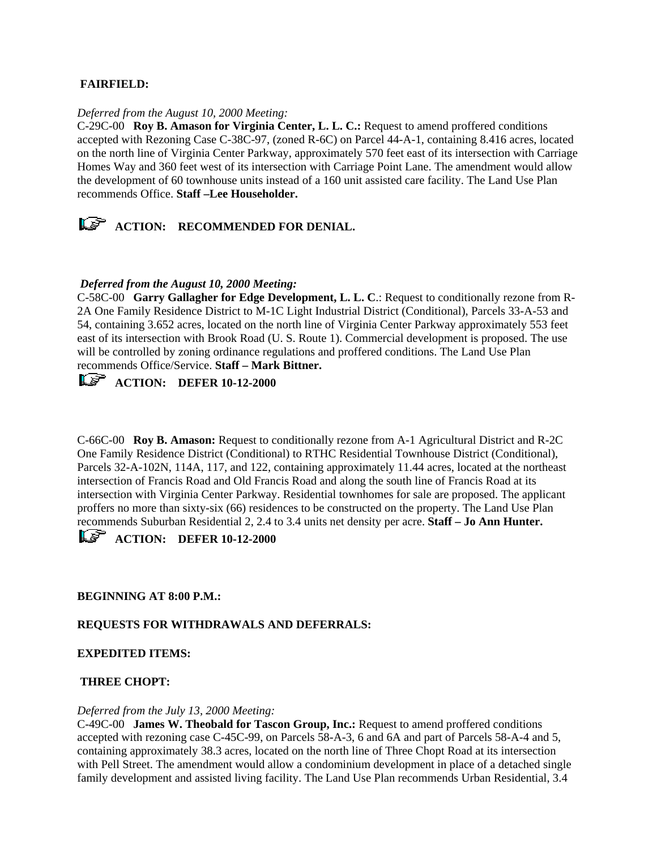## **FAIRFIELD:**

#### *Deferred from the August 10, 2000 Meeting:*

C-29C-00 **Roy B. Amason for Virginia Center, L. L. C.:** Request to amend proffered conditions accepted with Rezoning Case C-38C-97, (zoned R-6C) on Parcel 44-A-1, containing 8.416 acres, located on the north line of Virginia Center Parkway, approximately 570 feet east of its intersection with Carriage Homes Way and 360 feet west of its intersection with Carriage Point Lane. The amendment would allow the development of 60 townhouse units instead of a 160 unit assisted care facility. The Land Use Plan recommends Office. **Staff –Lee Householder.**

*ACTION:* RECOMMENDED FOR DENIAL.

## *Deferred from the August 10, 2000 Meeting:*

C-58C-00 **Garry Gallagher for Edge Development, L. L. C**.: Request to conditionally rezone from R-2A One Family Residence District to M-1C Light Industrial District (Conditional), Parcels 33-A-53 and 54, containing 3.652 acres, located on the north line of Virginia Center Parkway approximately 553 feet east of its intersection with Brook Road (U. S. Route 1). Commercial development is proposed. The use will be controlled by zoning ordinance regulations and proffered conditions. The Land Use Plan recommends Office/Service. **Staff – Mark Bittner.** 

# *ACTION: DEFER 10-12-2000*

C-66C-00 **Roy B. Amason:** Request to conditionally rezone from A-1 Agricultural District and R-2C One Family Residence District (Conditional) to RTHC Residential Townhouse District (Conditional), Parcels 32-A-102N, 114A, 117, and 122, containing approximately 11.44 acres, located at the northeast intersection of Francis Road and Old Francis Road and along the south line of Francis Road at its intersection with Virginia Center Parkway. Residential townhomes for sale are proposed. The applicant proffers no more than sixty-six (66) residences to be constructed on the property. The Land Use Plan recommends Suburban Residential 2, 2.4 to 3.4 units net density per acre. **Staff – Jo Ann Hunter.** 

**ACTION: DEFER 10-12-2000** 

#### **BEGINNING AT 8:00 P.M.:**

## **REQUESTS FOR WITHDRAWALS AND DEFERRALS:**

#### **EXPEDITED ITEMS:**

#### **THREE CHOPT:**

#### *Deferred from the July 13, 2000 Meeting:*

C-49C-00 **James W. Theobald for Tascon Group, Inc.:** Request to amend proffered conditions accepted with rezoning case C-45C-99, on Parcels 58-A-3, 6 and 6A and part of Parcels 58-A-4 and 5, containing approximately 38.3 acres, located on the north line of Three Chopt Road at its intersection with Pell Street. The amendment would allow a condominium development in place of a detached single family development and assisted living facility. The Land Use Plan recommends Urban Residential, 3.4